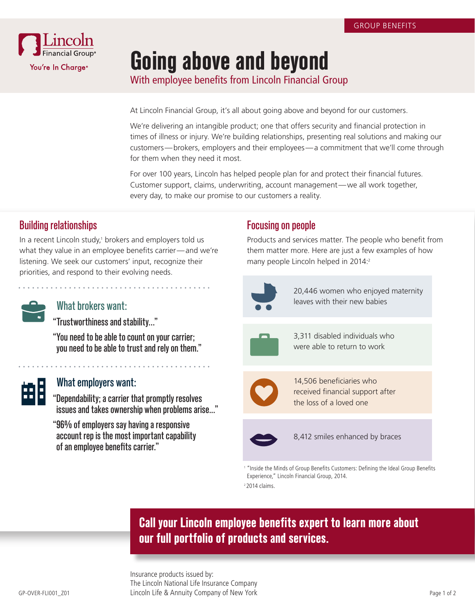

# **Going above and beyond**

With employee benefits from Lincoln Financial Group

At Lincoln Financial Group, it's all about going above and beyond for our customers.

We're delivering an intangible product; one that offers security and financial protection in times of illness or injury. We're building relationships, presenting real solutions and making our customers—brokers, employers and their employees—a commitment that we'll come through for them when they need it most.

For over 100 years, Lincoln has helped people plan for and protect their financial futures. Customer support, claims, underwriting, account management—we all work together, every day, to make our promise to our customers a reality.

### Building relationships

In a recent Lincoln study,<sup>1</sup> brokers and employers told us what they value in an employee benefits carrier—and we're listening. We seek our customers' input, recognize their priorities, and respond to their evolving needs.

| ٠<br>۰.<br>v<br>٧<br>٧<br>۰. |  |
|------------------------------|--|
|                              |  |

#### What brokers want:

- "Trustworthiness and stability…"
- "You need to be able to count on your carrier; you need to be able to trust and rely on them."



#### What employers want:

- "Dependability; a carrier that promptly resolves issues and takes ownership when problems arise..."
- "96% of employers say having a responsive account rep is the most important capability of an employee benefits carrier."

### Focusing on people

Products and services matter. The people who benefit from them matter more. Here are just a few examples of how many people Lincoln helped in 2014:<sup>2</sup>



20,446 women who enjoyed maternity leaves with their new babies



3,311 disabled individuals who were able to return to work



14,506 beneficiaries who received financial support after the loss of a loved one



8,412 smiles enhanced by braces

<sup>1</sup> "Inside the Minds of Group Benefits Customers: Defining the Ideal Group Benefits Experience," Lincoln Financial Group, 2014. 2 2014 claims.

# **Call your Lincoln employee benefits expert to learn more about our full portfolio of products and services.**

GP-OVER-FLI001\_Z01 Page 1 of 2 Lincoln Life & Annuity Company of New York Insurance products issued by: The Lincoln National Life Insurance Company